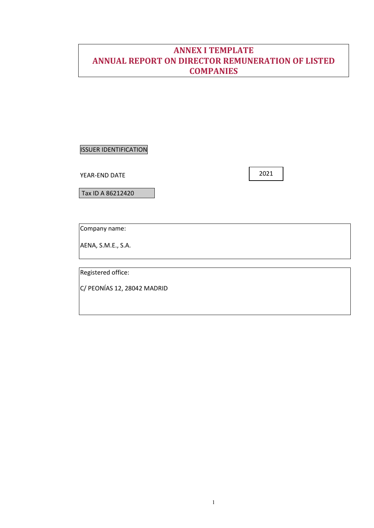# **ANNEX I TEMPLATE ANNUAL REPORT ON DIRECTOR REMUNERATION OF LISTED COMPANIES**

ISSUER IDENTIFICATION

YEAR-END DATE

Tax ID A 86212420

Company name:

AENA, S.M.E., S.A.

Registered office:

C/ PEONÍAS 12, 28042 MADRID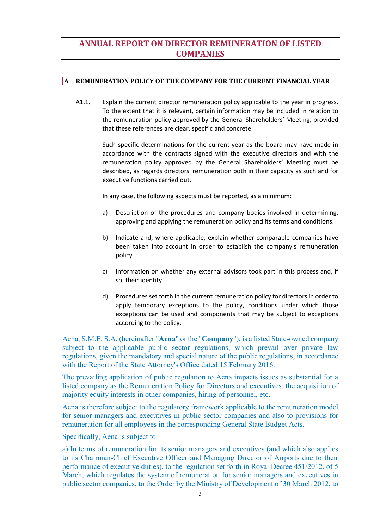# **ANNUAL REPORT ON DIRECTOR REMUNERATION OF LISTED COMPANIES**

### **A REMUNERATION POLICY OF THE COMPANY FOR THE CURRENT FINANCIAL YEAR**

A1.1. Explain the current director remuneration policy applicable to the year in progress. To the extent that it is relevant, certain information may be included in relation to the remuneration policy approved by the General Shareholders' Meeting, provided that these references are clear, specific and concrete.

> Such specific determinations for the current year as the board may have made in accordance with the contracts signed with the executive directors and with the remuneration policy approved by the General Shareholders' Meeting must be described, as regards directors' remuneration both in their capacity as such and for executive functions carried out.

In any case, the following aspects must be reported, as a minimum:

- a) Description of the procedures and company bodies involved in determining, approving and applying the remuneration policy and its terms and conditions.
- b) Indicate and, where applicable, explain whether comparable companies have been taken into account in order to establish the company's remuneration policy.
- c) Information on whether any external advisors took part in this process and, if so, their identity.
- d) Procedures set forth in the current remuneration policy for directors in order to apply temporary exceptions to the policy, conditions under which those exceptions can be used and components that may be subject to exceptions according to the policy.

Aena, S.M.E, S.A. (hereinafter "**Aena**" or the "**Company**"), is a listed State-owned company subject to the applicable public sector regulations, which prevail over private law regulations, given the mandatory and special nature of the public regulations, in accordance with the Report of the State Attorney's Office dated 15 February 2016.

The prevailing application of public regulation to Aena impacts issues as substantial for a listed company as the Remuneration Policy for Directors and executives, the acquisition of majority equity interests in other companies, hiring of personnel, etc.

Aena is therefore subject to the regulatory framework applicable to the remuneration model for senior managers and executives in public sector companies and also to provisions for remuneration for all employees in the corresponding General State Budget Acts.

Specifically, Aena is subject to:

a) In terms of remuneration for its senior managers and executives (and which also applies to its Chairman-Chief Executive Officer and Managing Director of Airports due to their performance of executive duties), to the regulation set forth in Royal Decree 451/2012, of 5 March, which regulates the system of remuneration for senior managers and executives in public sector companies, to the Order by the Ministry of Development of 30 March 2012, to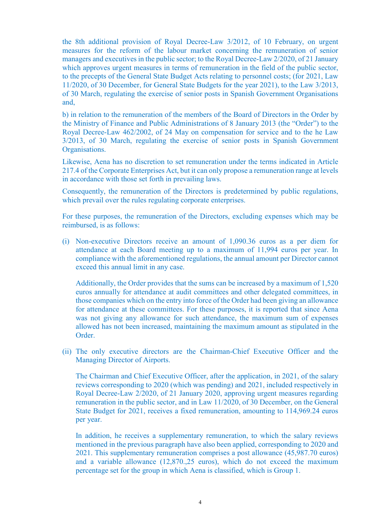the 8th additional provision of Royal Decree-Law 3/2012, of 10 February, on urgent measures for the reform of the labour market concerning the remuneration of senior managers and executives in the public sector; to the Royal Decree-Law 2/2020, of 21 January which approves urgent measures in terms of remuneration in the field of the public sector, to the precepts of the General State Budget Acts relating to personnel costs; (for 2021, Law 11/2020, of 30 December, for General State Budgets for the year 2021), to the Law 3/2013, of 30 March, regulating the exercise of senior posts in Spanish Government Organisations and,

b) in relation to the remuneration of the members of the Board of Directors in the Order by the Ministry of Finance and Public Administrations of 8 January 2013 (the "Order") to the Royal Decree-Law 462/2002, of 24 May on compensation for service and to the he Law 3/2013, of 30 March, regulating the exercise of senior posts in Spanish Government Organisations.

Likewise, Aena has no discretion to set remuneration under the terms indicated in Article 217.4 of the Corporate Enterprises Act, but it can only propose a remuneration range at levels in accordance with those set forth in prevailing laws.

Consequently, the remuneration of the Directors is predetermined by public regulations, which prevail over the rules regulating corporate enterprises.

For these purposes, the remuneration of the Directors, excluding expenses which may be reimbursed, is as follows:

(i) Non-executive Directors receive an amount of 1,090.36 euros as a per diem for attendance at each Board meeting up to a maximum of 11,994 euros per year. In compliance with the aforementioned regulations, the annual amount per Director cannot exceed this annual limit in any case.

Additionally, the Order provides that the sums can be increased by a maximum of 1,520 euros annually for attendance at audit committees and other delegated committees, in those companies which on the entry into force of the Order had been giving an allowance for attendance at these committees. For these purposes, it is reported that since Aena was not giving any allowance for such attendance, the maximum sum of expenses allowed has not been increased, maintaining the maximum amount as stipulated in the Order.

(ii) The only executive directors are the Chairman-Chief Executive Officer and the Managing Director of Airports.

The Chairman and Chief Executive Officer, after the application, in 2021, of the salary reviews corresponding to 2020 (which was pending) and 2021, included respectively in Royal Decree-Law 2/2020, of 21 January 2020, approving urgent measures regarding remuneration in the public sector, and in Law 11/2020, of 30 December, on the General State Budget for 2021, receives a fixed remuneration, amounting to 114,969.24 euros per year.

In addition, he receives a supplementary remuneration, to which the salary reviews mentioned in the previous paragraph have also been applied, corresponding to 2020 and 2021. This supplementary remuneration comprises a post allowance (45,987.70 euros) and a variable allowance (12,870.,25 euros), which do not exceed the maximum percentage set for the group in which Aena is classified, which is Group 1.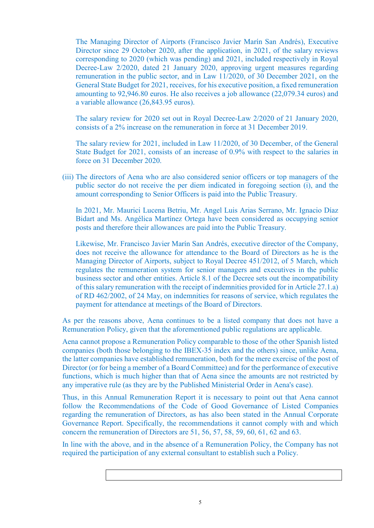The Managing Director of Airports (Francisco Javier Marín San Andrés), Executive Director since 29 October 2020, after the application, in 2021, of the salary reviews corresponding to 2020 (which was pending) and 2021, included respectively in Royal Decree-Law 2/2020, dated 21 January 2020, approving urgent measures regarding remuneration in the public sector, and in Law 11/2020, of 30 December 2021, on the General State Budget for 2021, receives, for his executive position, a fixed remuneration amounting to 92,946.80 euros. He also receives a job allowance (22,079.34 euros) and a variable allowance (26,843.95 euros).

The salary review for 2020 set out in Royal Decree-Law 2/2020 of 21 January 2020, consists of a 2% increase on the remuneration in force at 31 December 2019.

The salary review for 2021, included in Law 11/2020, of 30 December, of the General State Budget for 2021, consists of an increase of 0.9% with respect to the salaries in force on 31 December 2020.

(iii) The directors of Aena who are also considered senior officers or top managers of the public sector do not receive the per diem indicated in foregoing section (i), and the amount corresponding to Senior Officers is paid into the Public Treasury.

In 2021, Mr. Maurici Lucena Betriu, Mr. Angel Luis Arias Serrano, Mr. Ignacio Díaz Bidart and Ms. Angélica Martínez Ortega have been considered as occupying senior posts and therefore their allowances are paid into the Public Treasury.

Likewise, Mr. Francisco Javier Marín San Andrés, executive director of the Company, does not receive the allowance for attendance to the Board of Directors as he is the Managing Director of Airports, subject to Royal Decree 451/2012, of 5 March, which regulates the remuneration system for senior managers and executives in the public business sector and other entities. Article 8.1 of the Decree sets out the incompatibility of this salary remuneration with the receipt of indemnities provided for in Article 27.1.a) of RD 462/2002, of 24 May, on indemnities for reasons of service, which regulates the payment for attendance at meetings of the Board of Directors.

As per the reasons above, Aena continues to be a listed company that does not have a Remuneration Policy, given that the aforementioned public regulations are applicable.

Aena cannot propose a Remuneration Policy comparable to those of the other Spanish listed companies (both those belonging to the IBEX-35 index and the others) since, unlike Aena, the latter companies have established remuneration, both for the mere exercise of the post of Director (or for being a member of a Board Committee) and for the performance of executive functions, which is much higher than that of Aena since the amounts are not restricted by any imperative rule (as they are by the Published Ministerial Order in Aena's case).

Thus, in this Annual Remuneration Report it is necessary to point out that Aena cannot follow the Recommendations of the Code of Good Governance of Listed Companies regarding the remuneration of Directors, as has also been stated in the Annual Corporate Governance Report. Specifically, the recommendations it cannot comply with and which concern the remuneration of Directors are 51, 56, 57, 58, 59, 60, 61, 62 and 63.

In line with the above, and in the absence of a Remuneration Policy, the Company has not required the participation of any external consultant to establish such a Policy.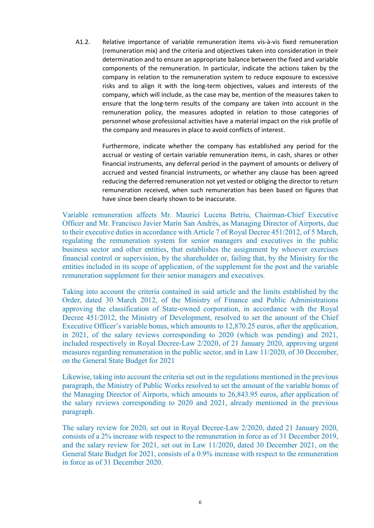A1.2. Relative importance of variable remuneration items vis-à-vis fixed remuneration (remuneration mix) and the criteria and objectives taken into consideration in their determination and to ensure an appropriate balance between the fixed and variable components of the remuneration. In particular, indicate the actions taken by the company in relation to the remuneration system to reduce exposure to excessive risks and to align it with the long-term objectives, values and interests of the company, which will include, as the case may be, mention of the measures taken to ensure that the long-term results of the company are taken into account in the remuneration policy, the measures adopted in relation to those categories of personnel whose professional activities have a material impact on the risk profile of the company and measures in place to avoid conflicts of interest.

> Furthermore, indicate whether the company has established any period for the accrual or vesting of certain variable remuneration items, in cash, shares or other financial instruments, any deferral period in the payment of amounts or delivery of accrued and vested financial instruments, or whether any clause has been agreed reducing the deferred remuneration not yet vested or obliging the director to return remuneration received, when such remuneration has been based on figures that have since been clearly shown to be inaccurate.

Variable remuneration affects Mr. Maurici Lucena Betriu, Chairman-Chief Executive Officer and Mr. Francisco Javier Marín San Andrés, as Managing Director of Airports, due to their executive duties in accordance with Article 7 of Royal Decree 451/2012, of 5 March, regulating the remuneration system for senior managers and executives in the public business sector and other entities, that establishes the assignment by whoever exercises financial control or supervision, by the shareholder or, failing that, by the Ministry for the entities included in its scope of application, of the supplement for the post and the variable remuneration supplement for their senior managers and executives.

Taking into account the criteria contained in said article and the limits established by the Order, dated 30 March 2012, of the Ministry of Finance and Public Administrations approving the classification of State-owned corporation, in accordance with the Royal Decree 451/2012, the Ministry of Development, resolved to set the amount of the Chief Executive Officer's variable bonus, which amounts to 12,870.25 euros, after the application, in 2021, of the salary reviews corresponding to 2020 (which was pending) and 2021, included respectively in Royal Decree-Law 2/2020, of 21 January 2020, approving urgent measures regarding remuneration in the public sector, and in Law 11/2020, of 30 December, on the General State Budget for 2021

Likewise, taking into account the criteria set out in the regulations mentioned in the previous paragraph, the Ministry of Public Works resolved to set the amount of the variable bonus of the Managing Director of Airports, which amounts to 26,843.95 euros, after application of the salary reviews corresponding to 2020 and 2021, already mentioned in the previous paragraph.

The salary review for 2020, set out in Royal Decree-Law 2/2020, dated 21 January 2020, consists of a 2% increase with respect to the remuneration in force as of 31 December 2019, and the salary review for 2021, set out in Law 11/2020, dated 30 December 2021, on the General State Budget for 2021, consists of a 0.9% increase with respect to the remuneration in force as of 31 December 2020.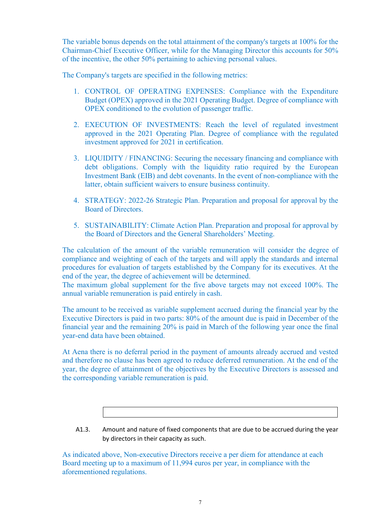The variable bonus depends on the total attainment of the company's targets at 100% for the Chairman-Chief Executive Officer, while for the Managing Director this accounts for 50% of the incentive, the other 50% pertaining to achieving personal values.

The Company's targets are specified in the following metrics:

- 1. CONTROL OF OPERATING EXPENSES: Compliance with the Expenditure Budget (OPEX) approved in the 2021 Operating Budget. Degree of compliance with OPEX conditioned to the evolution of passenger traffic.
- 2. EXECUTION OF INVESTMENTS: Reach the level of regulated investment approved in the 2021 Operating Plan. Degree of compliance with the regulated investment approved for 2021 in certification.
- 3. LIQUIDITY / FINANCING: Securing the necessary financing and compliance with debt obligations. Comply with the liquidity ratio required by the European Investment Bank (EIB) and debt covenants. In the event of non-compliance with the latter, obtain sufficient waivers to ensure business continuity.
- 4. STRATEGY: 2022-26 Strategic Plan. Preparation and proposal for approval by the Board of Directors.
- 5. SUSTAINABILITY: Climate Action Plan. Preparation and proposal for approval by the Board of Directors and the General Shareholders' Meeting.

The calculation of the amount of the variable remuneration will consider the degree of compliance and weighting of each of the targets and will apply the standards and internal procedures for evaluation of targets established by the Company for its executives. At the end of the year, the degree of achievement will be determined.

The maximum global supplement for the five above targets may not exceed 100%. The annual variable remuneration is paid entirely in cash.

The amount to be received as variable supplement accrued during the financial year by the Executive Directors is paid in two parts: 80% of the amount due is paid in December of the financial year and the remaining 20% is paid in March of the following year once the final year-end data have been obtained.

At Aena there is no deferral period in the payment of amounts already accrued and vested and therefore no clause has been agreed to reduce deferred remuneration. At the end of the year, the degree of attainment of the objectives by the Executive Directors is assessed and the corresponding variable remuneration is paid.

A1.3. Amount and nature of fixed components that are due to be accrued during the year by directors in their capacity as such.

As indicated above, Non-executive Directors receive a per diem for attendance at each Board meeting up to a maximum of 11,994 euros per year, in compliance with the aforementioned regulations.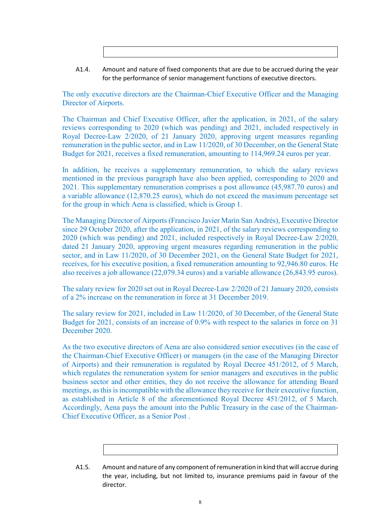A1.4. Amount and nature of fixed components that are due to be accrued during the year for the performance of senior management functions of executive directors.

The only executive directors are the Chairman-Chief Executive Officer and the Managing Director of Airports.

The Chairman and Chief Executive Officer, after the application, in 2021, of the salary reviews corresponding to 2020 (which was pending) and 2021, included respectively in Royal Decree-Law 2/2020, of 21 January 2020, approving urgent measures regarding remuneration in the public sector, and in Law 11/2020, of 30 December, on the General State Budget for 2021, receives a fixed remuneration, amounting to 114,969.24 euros per year.

In addition, he receives a supplementary remuneration, to which the salary reviews mentioned in the previous paragraph have also been applied, corresponding to 2020 and 2021. This supplementary remuneration comprises a post allowance (45,987.70 euros) and a variable allowance (12,870.25 euros), which do not exceed the maximum percentage set for the group in which Aena is classified, which is Group 1.

The Managing Director of Airports (Francisco Javier Marín San Andrés), Executive Director since 29 October 2020, after the application, in 2021, of the salary reviews corresponding to 2020 (which was pending) and 2021, included respectively in Royal Decree-Law 2/2020, dated 21 January 2020, approving urgent measures regarding remuneration in the public sector, and in Law 11/2020, of 30 December 2021, on the General State Budget for 2021, receives, for his executive position, a fixed remuneration amounting to 92,946.80 euros. He also receives a job allowance (22,079.34 euros) and a variable allowance (26,843.95 euros).

The salary review for 2020 set out in Royal Decree-Law 2/2020 of 21 January 2020, consists of a 2% increase on the remuneration in force at 31 December 2019.

The salary review for 2021, included in Law 11/2020, of 30 December, of the General State Budget for 2021, consists of an increase of 0.9% with respect to the salaries in force on 31 December 2020.

As the two executive directors of Aena are also considered senior executives (in the case of the Chairman-Chief Executive Officer) or managers (in the case of the Managing Director of Airports) and their remuneration is regulated by Royal Decree 451/2012, of 5 March, which regulates the remuneration system for senior managers and executives in the public business sector and other entities, they do not receive the allowance for attending Board meetings, as this is incompatible with the allowance they receive for their executive function, as established in Article 8 of the aforementioned Royal Decree 451/2012, of 5 March. Accordingly, Aena pays the amount into the Public Treasury in the case of the Chairman-Chief Executive Officer, as a Senior Post .

A1.5. Amount and nature of any component of remuneration in kind that will accrue during the year, including, but not limited to, insurance premiums paid in favour of the director.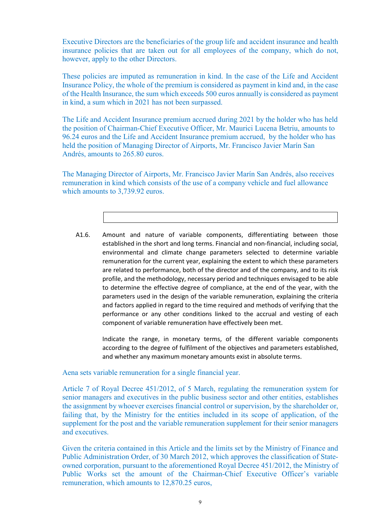Executive Directors are the beneficiaries of the group life and accident insurance and health insurance policies that are taken out for all employees of the company, which do not, however, apply to the other Directors.

These policies are imputed as remuneration in kind. In the case of the Life and Accident Insurance Policy, the whole of the premium is considered as payment in kind and, in the case of the Health Insurance, the sum which exceeds 500 euros annually is considered as payment in kind, a sum which in 2021 has not been surpassed.

The Life and Accident Insurance premium accrued during 2021 by the holder who has held the position of Chairman-Chief Executive Officer, Mr. Maurici Lucena Betriu, amounts to 96.24 euros and the Life and Accident Insurance premium accrued, by the holder who has held the position of Managing Director of Airports, Mr. Francisco Javier Marín San Andrés, amounts to 265.80 euros.

The Managing Director of Airports, Mr. Francisco Javier Marín San Andrés, also receives remuneration in kind which consists of the use of a company vehicle and fuel allowance which amounts to 3,739.92 euros.

A1.6. Amount and nature of variable components, differentiating between those established in the short and long terms. Financial and non-financial, including social, environmental and climate change parameters selected to determine variable remuneration for the current year, explaining the extent to which these parameters are related to performance, both of the director and of the company, and to its risk profile, and the methodology, necessary period and techniques envisaged to be able to determine the effective degree of compliance, at the end of the year, with the parameters used in the design of the variable remuneration, explaining the criteria and factors applied in regard to the time required and methods of verifying that the performance or any other conditions linked to the accrual and vesting of each component of variable remuneration have effectively been met.

Indicate the range, in monetary terms, of the different variable components according to the degree of fulfilment of the objectives and parameters established, and whether any maximum monetary amounts exist in absolute terms.

Aena sets variable remuneration for a single financial year.

Article 7 of Royal Decree 451/2012, of 5 March, regulating the remuneration system for senior managers and executives in the public business sector and other entities, establishes the assignment by whoever exercises financial control or supervision, by the shareholder or, failing that, by the Ministry for the entities included in its scope of application, of the supplement for the post and the variable remuneration supplement for their senior managers and executives.

Given the criteria contained in this Article and the limits set by the Ministry of Finance and Public Administration Order, of 30 March 2012, which approves the classification of Stateowned corporation, pursuant to the aforementioned Royal Decree 451/2012, the Ministry of Public Works set the amount of the Chairman-Chief Executive Officer's variable remuneration, which amounts to 12,870.25 euros,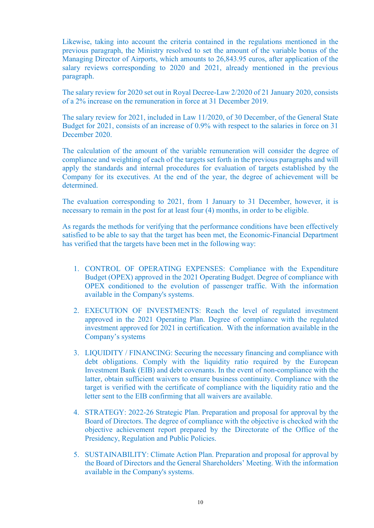Likewise, taking into account the criteria contained in the regulations mentioned in the previous paragraph, the Ministry resolved to set the amount of the variable bonus of the Managing Director of Airports, which amounts to 26,843.95 euros, after application of the salary reviews corresponding to 2020 and 2021, already mentioned in the previous paragraph.

The salary review for 2020 set out in Royal Decree-Law 2/2020 of 21 January 2020, consists of a 2% increase on the remuneration in force at 31 December 2019.

The salary review for 2021, included in Law 11/2020, of 30 December, of the General State Budget for 2021, consists of an increase of 0.9% with respect to the salaries in force on 31 December 2020.

The calculation of the amount of the variable remuneration will consider the degree of compliance and weighting of each of the targets set forth in the previous paragraphs and will apply the standards and internal procedures for evaluation of targets established by the Company for its executives. At the end of the year, the degree of achievement will be determined.

The evaluation corresponding to 2021, from 1 January to 31 December, however, it is necessary to remain in the post for at least four (4) months, in order to be eligible.

As regards the methods for verifying that the performance conditions have been effectively satisfied to be able to say that the target has been met, the Economic-Financial Department has verified that the targets have been met in the following way:

- 1. CONTROL OF OPERATING EXPENSES: Compliance with the Expenditure Budget (OPEX) approved in the 2021 Operating Budget. Degree of compliance with OPEX conditioned to the evolution of passenger traffic. With the information available in the Company's systems.
- 2. EXECUTION OF INVESTMENTS: Reach the level of regulated investment approved in the 2021 Operating Plan. Degree of compliance with the regulated investment approved for 2021 in certification. With the information available in the Company's systems
- 3. LIQUIDITY / FINANCING: Securing the necessary financing and compliance with debt obligations. Comply with the liquidity ratio required by the European Investment Bank (EIB) and debt covenants. In the event of non-compliance with the latter, obtain sufficient waivers to ensure business continuity. Compliance with the target is verified with the certificate of compliance with the liquidity ratio and the letter sent to the EIB confirming that all waivers are available.
- 4. STRATEGY: 2022-26 Strategic Plan. Preparation and proposal for approval by the Board of Directors. The degree of compliance with the objective is checked with the objective achievement report prepared by the Directorate of the Office of the Presidency, Regulation and Public Policies.
- 5. SUSTAINABILITY: Climate Action Plan. Preparation and proposal for approval by the Board of Directors and the General Shareholders' Meeting. With the information available in the Company's systems.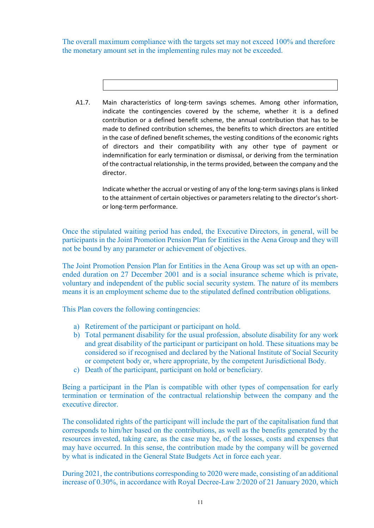The overall maximum compliance with the targets set may not exceed 100% and therefore the monetary amount set in the implementing rules may not be exceeded.

A1.7. Main characteristics of long-term savings schemes. Among other information, indicate the contingencies covered by the scheme, whether it is a defined contribution or a defined benefit scheme, the annual contribution that has to be made to defined contribution schemes, the benefits to which directors are entitled in the case of defined benefit schemes, the vesting conditions of the economic rights of directors and their compatibility with any other type of payment or indemnification for early termination or dismissal, or deriving from the termination of the contractual relationship, in the terms provided, between the company and the director.

> Indicate whether the accrual or vesting of any of the long-term savings plans is linked to the attainment of certain objectives or parameters relating to the director's shortor long-term performance.

Once the stipulated waiting period has ended, the Executive Directors, in general, will be participants in the Joint Promotion Pension Plan for Entities in the Aena Group and they will not be bound by any parameter or achievement of objectives.

The Joint Promotion Pension Plan for Entities in the Aena Group was set up with an openended duration on 27 December 2001 and is a social insurance scheme which is private, voluntary and independent of the public social security system. The nature of its members means it is an employment scheme due to the stipulated defined contribution obligations.

This Plan covers the following contingencies:

- a) Retirement of the participant or participant on hold.
- b) Total permanent disability for the usual profession, absolute disability for any work and great disability of the participant or participant on hold. These situations may be considered so if recognised and declared by the National Institute of Social Security or competent body or, where appropriate, by the competent Jurisdictional Body.
- c) Death of the participant, participant on hold or beneficiary.

Being a participant in the Plan is compatible with other types of compensation for early termination or termination of the contractual relationship between the company and the executive director.

The consolidated rights of the participant will include the part of the capitalisation fund that corresponds to him/her based on the contributions, as well as the benefits generated by the resources invested, taking care, as the case may be, of the losses, costs and expenses that may have occurred. In this sense, the contribution made by the company will be governed by what is indicated in the General State Budgets Act in force each year.

During 2021, the contributions corresponding to 2020 were made, consisting of an additional increase of 0.30%, in accordance with Royal Decree-Law 2/2020 of 21 January 2020, which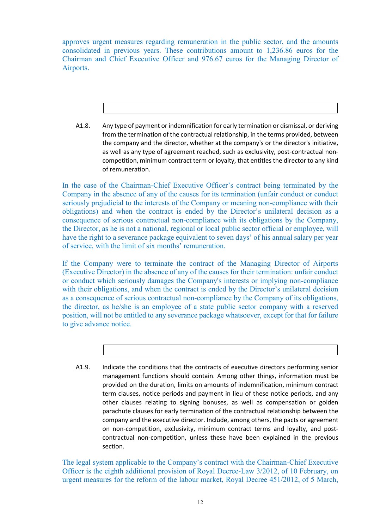approves urgent measures regarding remuneration in the public sector, and the amounts consolidated in previous years. These contributions amount to 1,236.86 euros for the Chairman and Chief Executive Officer and 976.67 euros for the Managing Director of Airports.

A1.8. Any type of payment or indemnification for early termination or dismissal, or deriving from the termination of the contractual relationship, in the terms provided, between the company and the director, whether at the company's or the director's initiative, as well as any type of agreement reached, such as exclusivity, post-contractual noncompetition, minimum contract term or loyalty, that entitles the director to any kind of remuneration.

In the case of the Chairman-Chief Executive Officer's contract being terminated by the Company in the absence of any of the causes for its termination (unfair conduct or conduct seriously prejudicial to the interests of the Company or meaning non-compliance with their obligations) and when the contract is ended by the Director's unilateral decision as a consequence of serious contractual non-compliance with its obligations by the Company, the Director, as he is not a national, regional or local public sector official or employee, will have the right to a severance package equivalent to seven days' of his annual salary per year of service, with the limit of six months' remuneration.

If the Company were to terminate the contract of the Managing Director of Airports (Executive Director) in the absence of any of the causes for their termination: unfair conduct or conduct which seriously damages the Company's interests or implying non-compliance with their obligations, and when the contract is ended by the Director's unilateral decision as a consequence of serious contractual non-compliance by the Company of its obligations, the director, as he/she is an employee of a state public sector company with a reserved position, will not be entitled to any severance package whatsoever, except for that for failure to give advance notice.

A1.9. Indicate the conditions that the contracts of executive directors performing senior management functions should contain. Among other things, information must be provided on the duration, limits on amounts of indemnification, minimum contract term clauses, notice periods and payment in lieu of these notice periods, and any other clauses relating to signing bonuses, as well as compensation or golden parachute clauses for early termination of the contractual relationship between the company and the executive director. Include, among others, the pacts or agreement on non-competition, exclusivity, minimum contract terms and loyalty, and postcontractual non-competition, unless these have been explained in the previous section.

The legal system applicable to the Company's contract with the Chairman-Chief Executive Officer is the eighth additional provision of Royal Decree-Law 3/2012, of 10 February, on urgent measures for the reform of the labour market, Royal Decree 451/2012, of 5 March,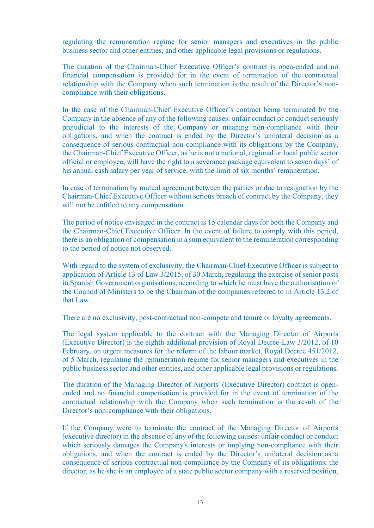regulating the remuneration regime for senior managers and executives in the public business sector and other entities, and other applicable legal provisions or regulations.

The duration of the Chairman-Chief Executive Officer's contract is open-ended and no financial compensation is provided for in the event of termination of the contractual relationship with the Company when such termination is the result of the Director's noncompliance with their obligations.

In the case of the Chairman-Chief Executive Officer's contract being terminated by the Company in the absence of any of the following causes: unfair conduct or conduct seriously prejudicial to the interests of the Company or meaning non-compliance with their obligations, and when the contract is ended by the Director's unilateral decision as a consequence of serious contractual non-compliance with its obligations by the Company, the Chairman-Chief Executive Officer, as he is not a national, regional or local public sector official or employee, will have the right to a severance package equivalent to seven days' of his annual cash salary per year of service, with the limit of six months' remuneration.

In case of termination by mutual agreement between the parties or due to resignation by the Chairman-Chief Executive Officer without serious breach of contract by the Company, they will not be entitled to any compensation.

The period of notice envisaged in the contract is 15 calendar days for both the Company and the Chairman-Chief Executive Officer. In the event of failure to comply with this period, there is an obligation of compensation in a sum equivalent to the remuneration corresponding to the period of notice not observed.

With regard to the system of exclusivity, the Chairman-Chief Executive Officer is subject to application of Article 13 of Law 3/2015, of 30 March, regulating the exercise of senior posts in Spanish Government organisations, according to which he must have the authorisation of the Council of Ministers to be the Chairman of the companies referred to in Article 13.2 of that Law.

There are no exclusivity, post-contractual non-compete and tenure or loyalty agreements.

The legal system applicable to the contract with the Managing Director of Airports (Executive Director) is the eighth additional provision of Royal Decree-Law 3/2012, of 10 February, on urgent measures for the reform of the labour market, Royal Decree 451/2012, of 5 March, regulating the remuneration regime for senior managers and executives in the public business sector and other entities, and other applicable legal provisions or regulations.

The duration of the Managing Director of Airports' (Executive Director) contract is openended and no financial compensation is provided for in the event of termination of the contractual relationship with the Company when such termination is the result of the Director's non-compliance with their obligations.

If the Company were to terminate the contract of the Managing Director of Airports (executive director) in the absence of any of the following causes: unfair conduct or conduct which seriously damages the Company's interests or implying non-compliance with their obligations, and when the contract is ended by the Director's unilateral decision as a consequence of serious contractual non-compliance by the Company of its obligations, the director, as he/she is an employee of a state public sector company with a reserved position,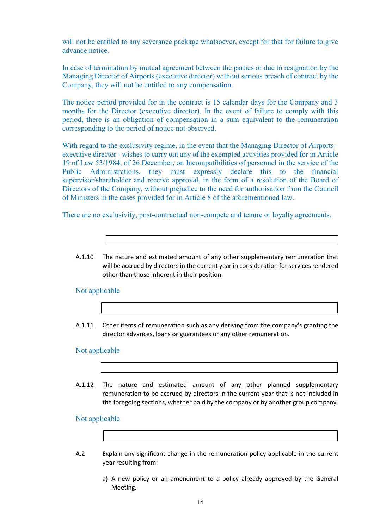will not be entitled to any severance package whatsoever, except for that for failure to give advance notice.

In case of termination by mutual agreement between the parties or due to resignation by the Managing Director of Airports (executive director) without serious breach of contract by the Company, they will not be entitled to any compensation.

The notice period provided for in the contract is 15 calendar days for the Company and 3 months for the Director (executive director). In the event of failure to comply with this period, there is an obligation of compensation in a sum equivalent to the remuneration corresponding to the period of notice not observed.

With regard to the exclusivity regime, in the event that the Managing Director of Airports executive director - wishes to carry out any of the exempted activities provided for in Article 19 of Law 53/1984, of 26 December, on Incompatibilities of personnel in the service of the Public Administrations, they must expressly declare this to the financial supervisor/shareholder and receive approval, in the form of a resolution of the Board of Directors of the Company, without prejudice to the need for authorisation from the Council of Ministers in the cases provided for in Article 8 of the aforementioned law.

There are no exclusivity, post-contractual non-compete and tenure or loyalty agreements.

A.1.10 The nature and estimated amount of any other supplementary remuneration that will be accrued by directors in the current year in consideration for services rendered other than those inherent in their position.

Not applicable

A.1.11 Other items of remuneration such as any deriving from the company's granting the director advances, loans or guarantees or any other remuneration.

### Not applicable

A.1.12 The nature and estimated amount of any other planned supplementary remuneration to be accrued by directors in the current year that is not included in the foregoing sections, whether paid by the company or by another group company.

### Not applicable

- A.2 Explain any significant change in the remuneration policy applicable in the current year resulting from:
	- a) A new policy or an amendment to a policy already approved by the General Meeting.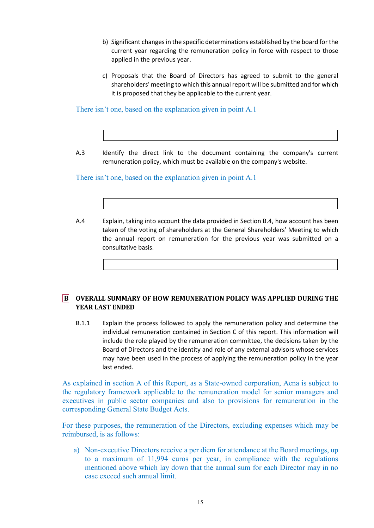- b) Significant changes in the specific determinations established by the board for the current year regarding the remuneration policy in force with respect to those applied in the previous year.
- c) Proposals that the Board of Directors has agreed to submit to the general shareholders' meeting to which this annual report will be submitted and for which it is proposed that they be applicable to the current year.

There isn't one, based on the explanation given in point A.1

A.3 Identify the direct link to the document containing the company's current remuneration policy, which must be available on the company's website.

There isn't one, based on the explanation given in point A.1

A.4 Explain, taking into account the data provided in Section B.4, how account has been taken of the voting of shareholders at the General Shareholders' Meeting to which the annual report on remuneration for the previous year was submitted on a consultative basis.

### **B OVERALL SUMMARY OF HOW REMUNERATION POLICY WAS APPLIED DURING THE YEAR LAST ENDED**

B.1.1 Explain the process followed to apply the remuneration policy and determine the individual remuneration contained in Section C of this report. This information will include the role played by the remuneration committee, the decisions taken by the Board of Directors and the identity and role of any external advisors whose services may have been used in the process of applying the remuneration policy in the year last ended.

As explained in section A of this Report, as a State-owned corporation, Aena is subject to the regulatory framework applicable to the remuneration model for senior managers and executives in public sector companies and also to provisions for remuneration in the corresponding General State Budget Acts.

For these purposes, the remuneration of the Directors, excluding expenses which may be reimbursed, is as follows:

a) Non-executive Directors receive a per diem for attendance at the Board meetings, up to a maximum of 11,994 euros per year, in compliance with the regulations mentioned above which lay down that the annual sum for each Director may in no case exceed such annual limit.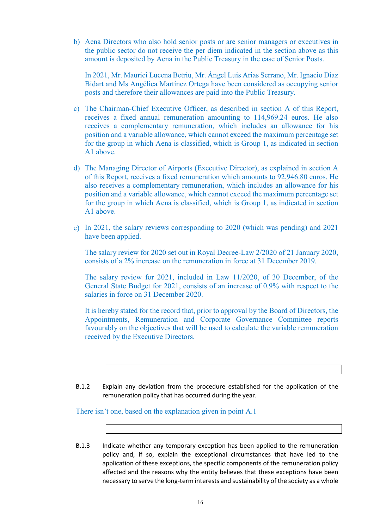b) Aena Directors who also hold senior posts or are senior managers or executives in the public sector do not receive the per diem indicated in the section above as this amount is deposited by Aena in the Public Treasury in the case of Senior Posts.

In 2021, Mr. Maurici Lucena Betriu, Mr. Ángel Luis Arias Serrano, Mr. Ignacio Díaz Bidart and Ms Angélica Martínez Ortega have been considered as occupying senior posts and therefore their allowances are paid into the Public Treasury.

- c) The Chairman-Chief Executive Officer, as described in section A of this Report, receives a fixed annual remuneration amounting to 114,969.24 euros. He also receives a complementary remuneration, which includes an allowance for his position and a variable allowance, which cannot exceed the maximum percentage set for the group in which Aena is classified, which is Group 1, as indicated in section A1 above.
- d) The Managing Director of Airports (Executive Director), as explained in section A of this Report, receives a fixed remuneration which amounts to 92,946.80 euros. He also receives a complementary remuneration, which includes an allowance for his position and a variable allowance, which cannot exceed the maximum percentage set for the group in which Aena is classified, which is Group 1, as indicated in section A1 above.
- e) In 2021, the salary reviews corresponding to 2020 (which was pending) and 2021 have been applied.

The salary review for 2020 set out in Royal Decree-Law 2/2020 of 21 January 2020, consists of a 2% increase on the remuneration in force at 31 December 2019.

The salary review for 2021, included in Law 11/2020, of 30 December, of the General State Budget for 2021, consists of an increase of 0.9% with respect to the salaries in force on 31 December 2020.

It is hereby stated for the record that, prior to approval by the Board of Directors, the Appointments, Remuneration and Corporate Governance Committee reports favourably on the objectives that will be used to calculate the variable remuneration received by the Executive Directors.

B.1.2 Explain any deviation from the procedure established for the application of the remuneration policy that has occurred during the year.

There isn't one, based on the explanation given in point A.1

B.1.3 Indicate whether any temporary exception has been applied to the remuneration policy and, if so, explain the exceptional circumstances that have led to the application of these exceptions, the specific components of the remuneration policy affected and the reasons why the entity believes that these exceptions have been necessary to serve the long-term interests and sustainability of the society as a whole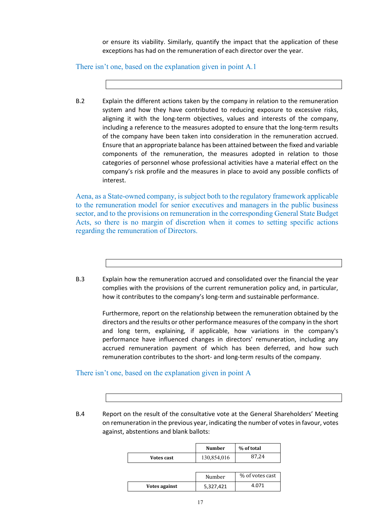or ensure its viability. Similarly, quantify the impact that the application of these exceptions has had on the remuneration of each director over the year.

There isn't one, based on the explanation given in point A.1

B.2 Explain the different actions taken by the company in relation to the remuneration system and how they have contributed to reducing exposure to excessive risks, aligning it with the long-term objectives, values and interests of the company, including a reference to the measures adopted to ensure that the long-term results of the company have been taken into consideration in the remuneration accrued. Ensure that an appropriate balance has been attained between the fixed and variable components of the remuneration, the measures adopted in relation to those categories of personnel whose professional activities have a material effect on the company's risk profile and the measures in place to avoid any possible conflicts of interest.

Aena, as a State-owned company, is subject both to the regulatory framework applicable to the remuneration model for senior executives and managers in the public business sector, and to the provisions on remuneration in the corresponding General State Budget Acts, so there is no margin of discretion when it comes to setting specific actions regarding the remuneration of Directors.

B.3 Explain how the remuneration accrued and consolidated over the financial the year complies with the provisions of the current remuneration policy and, in particular, how it contributes to the company's long-term and sustainable performance.

> Furthermore, report on the relationship between the remuneration obtained by the directors and the results or other performance measures of the company in the short and long term, explaining, if applicable, how variations in the company's performance have influenced changes in directors' remuneration, including any accrued remuneration payment of which has been deferred, and how such remuneration contributes to the short- and long-term results of the company.

### There isn't one, based on the explanation given in point A

B.4 Report on the result of the consultative vote at the General Shareholders' Meeting on remuneration in the previous year, indicating the number of votes in favour, votes against, abstentions and blank ballots:

|               | <b>Number</b> | % of total      |
|---------------|---------------|-----------------|
| Votes cast    | 130,854,016   | 87,24           |
|               |               |                 |
|               | Number        | % of votes cast |
| Votes against | 5,327,421     | 4.071           |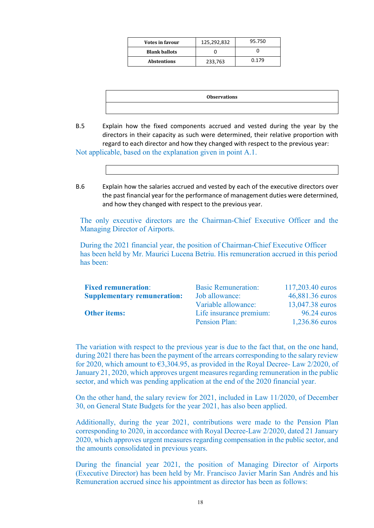| <b>Votes in favour</b> | 125,292,832 | 95.750 |  |  |
|------------------------|-------------|--------|--|--|
| <b>Blank ballots</b>   |             |        |  |  |
| <b>Abstentions</b>     | 233,763     | ነ 179  |  |  |

| <b>Observations</b> |  |
|---------------------|--|
|                     |  |

B.5 Explain how the fixed components accrued and vested during the year by the directors in their capacity as such were determined, their relative proportion with regard to each director and how they changed with respect to the previous year:

Not applicable, based on the explanation given in point A.1.

B.6 Explain how the salaries accrued and vested by each of the executive directors over the past financial year for the performance of management duties were determined, and how they changed with respect to the previous year.

The only executive directors are the Chairman-Chief Executive Officer and the Managing Director of Airports.

During the 2021 financial year, the position of Chairman-Chief Executive Officer has been held by Mr. Maurici Lucena Betriu. His remuneration accrued in this period has been:

| <b>Fixed remuneration:</b>         | <b>Basic Remuneration:</b> | 117,203.40 euros |
|------------------------------------|----------------------------|------------------|
| <b>Supplementary remuneration:</b> | Job allowance:             | 46,881.36 euros  |
|                                    | Variable allowance:        | 13,047.38 euros  |
| <b>Other items:</b>                | Life insurance premium:    | $96.24$ euros    |
|                                    | Pension Plan:              | 1,236.86 euros   |

The variation with respect to the previous year is due to the fact that, on the one hand, during 2021 there has been the payment of the arrears corresponding to the salary review for 2020, which amount to €3,304.95, as provided in the Royal Decree- Law 2/2020, of January 21, 2020, which approves urgent measures regarding remuneration in the public sector, and which was pending application at the end of the 2020 financial year.

On the other hand, the salary review for 2021, included in Law 11/2020, of December 30, on General State Budgets for the year 2021, has also been applied.

Additionally, during the year 2021, contributions were made to the Pension Plan corresponding to 2020, in accordance with Royal Decree-Law 2/2020, dated 21 January 2020, which approves urgent measures regarding compensation in the public sector, and the amounts consolidated in previous years.

During the financial year 2021, the position of Managing Director of Airports (Executive Director) has been held by Mr. Francisco Javier Marín San Andrés and his Remuneration accrued since his appointment as director has been as follows: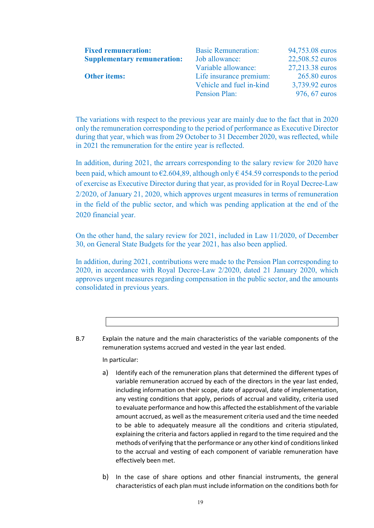| <b>Fixed remuneration:</b><br><b>Supplementary remuneration:</b> | <b>Basic Remuneration:</b><br>Job allowance: | 94,753.08 euros<br>22,508.52 euros |
|------------------------------------------------------------------|----------------------------------------------|------------------------------------|
|                                                                  | Variable allowance:                          | 27,213.38 euros                    |
| <b>Other items:</b>                                              | Life insurance premium:                      | $265.80$ euros                     |
|                                                                  | Vehicle and fuel in-kind                     | 3,739.92 euros                     |
|                                                                  | Pension Plan:                                | 976, 67 euros                      |

The variations with respect to the previous year are mainly due to the fact that in 2020 only the remuneration corresponding to the period of performance as Executive Director during that year, which was from 29 October to 31 December 2020, was reflected, while in 2021 the remuneration for the entire year is reflected.

In addition, during 2021, the arrears corresponding to the salary review for 2020 have been paid, which amount to  $\epsilon$ 2.604,89, although only  $\epsilon$  454.59 corresponds to the period of exercise as Executive Director during that year, as provided for in Royal Decree-Law 2/2020, of January 21, 2020, which approves urgent measures in terms of remuneration in the field of the public sector, and which was pending application at the end of the 2020 financial year.

On the other hand, the salary review for 2021, included in Law 11/2020, of December 30, on General State Budgets for the year 2021, has also been applied.

In addition, during 2021, contributions were made to the Pension Plan corresponding to 2020, in accordance with Royal Decree-Law 2/2020, dated 21 January 2020, which approves urgent measures regarding compensation in the public sector, and the amounts consolidated in previous years.

B.7 Explain the nature and the main characteristics of the variable components of the remuneration systems accrued and vested in the year last ended.

In particular:

- a) Identify each of the remuneration plans that determined the different types of variable remuneration accrued by each of the directors in the year last ended, including information on their scope, date of approval, date of implementation, any vesting conditions that apply, periods of accrual and validity, criteria used to evaluate performance and how this affected the establishment of the variable amount accrued, as well as the measurement criteria used and the time needed to be able to adequately measure all the conditions and criteria stipulated, explaining the criteria and factors applied in regard to the time required and the methods of verifying that the performance or any other kind of conditions linked to the accrual and vesting of each component of variable remuneration have effectively been met.
- b) In the case of share options and other financial instruments, the general characteristics of each plan must include information on the conditions both for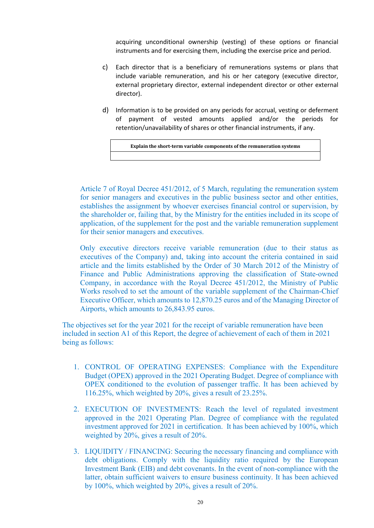acquiring unconditional ownership (vesting) of these options or financial instruments and for exercising them, including the exercise price and period.

- c) Each director that is a beneficiary of remunerations systems or plans that include variable remuneration, and his or her category (executive director, external proprietary director, external independent director or other external director).
- d) Information is to be provided on any periods for accrual, vesting or deferment of payment of vested amounts applied and/or the periods for retention/unavailability of shares or other financial instruments, if any.

**Explain the short-term variable components of the remuneration systems**

Article 7 of Royal Decree 451/2012, of 5 March, regulating the remuneration system for senior managers and executives in the public business sector and other entities, establishes the assignment by whoever exercises financial control or supervision, by the shareholder or, failing that, by the Ministry for the entities included in its scope of application, of the supplement for the post and the variable remuneration supplement for their senior managers and executives.

Only executive directors receive variable remuneration (due to their status as executives of the Company) and, taking into account the criteria contained in said article and the limits established by the Order of 30 March 2012 of the Ministry of Finance and Public Administrations approving the classification of State-owned Company, in accordance with the Royal Decree 451/2012, the Ministry of Public Works resolved to set the amount of the variable supplement of the Chairman-Chief Executive Officer, which amounts to 12,870.25 euros and of the Managing Director of Airports, which amounts to 26,843.95 euros.

The objectives set for the year 2021 for the receipt of variable remuneration have been included in section A1 of this Report, the degree of achievement of each of them in 2021 being as follows:

- 1. CONTROL OF OPERATING EXPENSES: Compliance with the Expenditure Budget (OPEX) approved in the 2021 Operating Budget. Degree of compliance with OPEX conditioned to the evolution of passenger traffic. It has been achieved by 116.25%, which weighted by 20%, gives a result of 23.25%.
- 2. EXECUTION OF INVESTMENTS: Reach the level of regulated investment approved in the 2021 Operating Plan. Degree of compliance with the regulated investment approved for 2021 in certification. It has been achieved by 100%, which weighted by 20%, gives a result of 20%.
- 3. LIQUIDITY / FINANCING: Securing the necessary financing and compliance with debt obligations. Comply with the liquidity ratio required by the European Investment Bank (EIB) and debt covenants. In the event of non-compliance with the latter, obtain sufficient waivers to ensure business continuity. It has been achieved by 100%, which weighted by 20%, gives a result of 20%.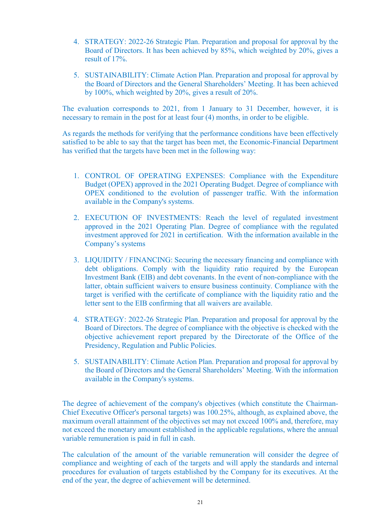- 4. STRATEGY: 2022-26 Strategic Plan. Preparation and proposal for approval by the Board of Directors. It has been achieved by 85%, which weighted by 20%, gives a result of 17%.
- 5. SUSTAINABILITY: Climate Action Plan. Preparation and proposal for approval by the Board of Directors and the General Shareholders' Meeting. It has been achieved by 100%, which weighted by 20%, gives a result of 20%.

The evaluation corresponds to 2021, from 1 January to 31 December, however, it is necessary to remain in the post for at least four (4) months, in order to be eligible.

As regards the methods for verifying that the performance conditions have been effectively satisfied to be able to say that the target has been met, the Economic-Financial Department has verified that the targets have been met in the following way:

- 1. CONTROL OF OPERATING EXPENSES: Compliance with the Expenditure Budget (OPEX) approved in the 2021 Operating Budget. Degree of compliance with OPEX conditioned to the evolution of passenger traffic. With the information available in the Company's systems.
- 2. EXECUTION OF INVESTMENTS: Reach the level of regulated investment approved in the 2021 Operating Plan. Degree of compliance with the regulated investment approved for 2021 in certification. With the information available in the Company's systems
- 3. LIQUIDITY / FINANCING: Securing the necessary financing and compliance with debt obligations. Comply with the liquidity ratio required by the European Investment Bank (EIB) and debt covenants. In the event of non-compliance with the latter, obtain sufficient waivers to ensure business continuity. Compliance with the target is verified with the certificate of compliance with the liquidity ratio and the letter sent to the EIB confirming that all waivers are available.
- 4. STRATEGY: 2022-26 Strategic Plan. Preparation and proposal for approval by the Board of Directors. The degree of compliance with the objective is checked with the objective achievement report prepared by the Directorate of the Office of the Presidency, Regulation and Public Policies.
- 5. SUSTAINABILITY: Climate Action Plan. Preparation and proposal for approval by the Board of Directors and the General Shareholders' Meeting. With the information available in the Company's systems.

The degree of achievement of the company's objectives (which constitute the Chairman-Chief Executive Officer's personal targets) was 100.25%, although, as explained above, the maximum overall attainment of the objectives set may not exceed 100% and, therefore, may not exceed the monetary amount established in the applicable regulations, where the annual variable remuneration is paid in full in cash.

The calculation of the amount of the variable remuneration will consider the degree of compliance and weighting of each of the targets and will apply the standards and internal procedures for evaluation of targets established by the Company for its executives. At the end of the year, the degree of achievement will be determined.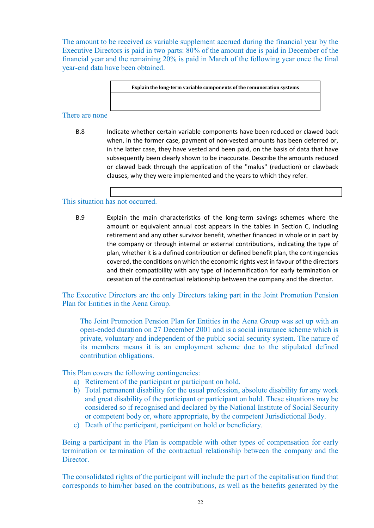The amount to be received as variable supplement accrued during the financial year by the Executive Directors is paid in two parts: 80% of the amount due is paid in December of the financial year and the remaining 20% is paid in March of the following year once the final year-end data have been obtained.

**Explain the long-term variable components of the remuneration systems**

### There are none

B.8 Indicate whether certain variable components have been reduced or clawed back when, in the former case, payment of non-vested amounts has been deferred or, in the latter case, they have vested and been paid, on the basis of data that have subsequently been clearly shown to be inaccurate. Describe the amounts reduced or clawed back through the application of the "malus" (reduction) or clawback clauses, why they were implemented and the years to which they refer.

### This situation has not occurred.

B.9 Explain the main characteristics of the long-term savings schemes where the amount or equivalent annual cost appears in the tables in Section C, including retirement and any other survivor benefit, whether financed in whole or in part by the company or through internal or external contributions, indicating the type of plan, whether it is a defined contribution or defined benefit plan, the contingencies covered, the conditions on which the economic rights vest in favour of the directors and their compatibility with any type of indemnification for early termination or cessation of the contractual relationship between the company and the director.

The Executive Directors are the only Directors taking part in the Joint Promotion Pension Plan for Entities in the Aena Group.

The Joint Promotion Pension Plan for Entities in the Aena Group was set up with an open-ended duration on 27 December 2001 and is a social insurance scheme which is private, voluntary and independent of the public social security system. The nature of its members means it is an employment scheme due to the stipulated defined contribution obligations.

This Plan covers the following contingencies:

- a) Retirement of the participant or participant on hold.
- b) Total permanent disability for the usual profession, absolute disability for any work and great disability of the participant or participant on hold. These situations may be considered so if recognised and declared by the National Institute of Social Security or competent body or, where appropriate, by the competent Jurisdictional Body.
- c) Death of the participant, participant on hold or beneficiary.

Being a participant in the Plan is compatible with other types of compensation for early termination or termination of the contractual relationship between the company and the Director.

The consolidated rights of the participant will include the part of the capitalisation fund that corresponds to him/her based on the contributions, as well as the benefits generated by the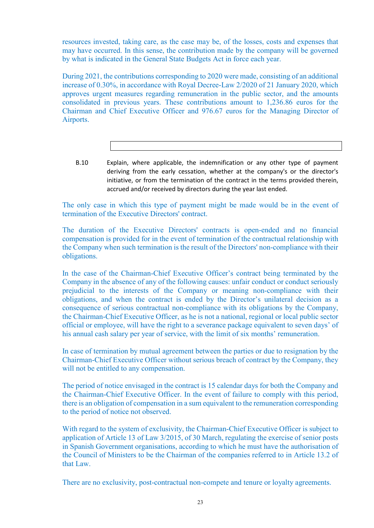resources invested, taking care, as the case may be, of the losses, costs and expenses that may have occurred. In this sense, the contribution made by the company will be governed by what is indicated in the General State Budgets Act in force each year.

During 2021, the contributions corresponding to 2020 were made, consisting of an additional increase of 0.30%, in accordance with Royal Decree-Law 2/2020 of 21 January 2020, which approves urgent measures regarding remuneration in the public sector, and the amounts consolidated in previous years. These contributions amount to 1,236.86 euros for the Chairman and Chief Executive Officer and 976.67 euros for the Managing Director of Airports.

B.10 Explain, where applicable, the indemnification or any other type of payment deriving from the early cessation, whether at the company's or the director's initiative, or from the termination of the contract in the terms provided therein, accrued and/or received by directors during the year last ended.

The only case in which this type of payment might be made would be in the event of termination of the Executive Directors' contract.

The duration of the Executive Directors' contracts is open-ended and no financial compensation is provided for in the event of termination of the contractual relationship with the Company when such termination is the result of the Directors' non-compliance with their obligations.

In the case of the Chairman-Chief Executive Officer's contract being terminated by the Company in the absence of any of the following causes: unfair conduct or conduct seriously prejudicial to the interests of the Company or meaning non-compliance with their obligations, and when the contract is ended by the Director's unilateral decision as a consequence of serious contractual non-compliance with its obligations by the Company, the Chairman-Chief Executive Officer, as he is not a national, regional or local public sector official or employee, will have the right to a severance package equivalent to seven days' of his annual cash salary per year of service, with the limit of six months' remuneration.

In case of termination by mutual agreement between the parties or due to resignation by the Chairman-Chief Executive Officer without serious breach of contract by the Company, they will not be entitled to any compensation.

The period of notice envisaged in the contract is 15 calendar days for both the Company and the Chairman-Chief Executive Officer. In the event of failure to comply with this period, there is an obligation of compensation in a sum equivalent to the remuneration corresponding to the period of notice not observed.

With regard to the system of exclusivity, the Chairman-Chief Executive Officer is subject to application of Article 13 of Law 3/2015, of 30 March, regulating the exercise of senior posts in Spanish Government organisations, according to which he must have the authorisation of the Council of Ministers to be the Chairman of the companies referred to in Article 13.2 of that Law.

There are no exclusivity, post-contractual non-compete and tenure or loyalty agreements.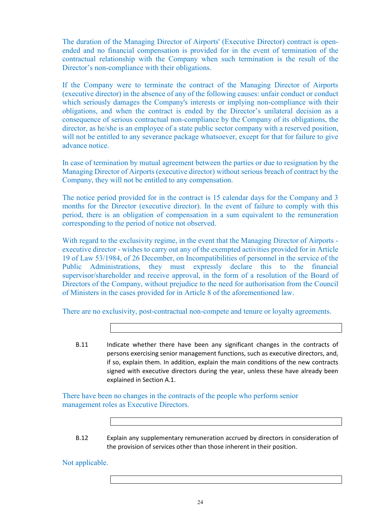The duration of the Managing Director of Airports' (Executive Director) contract is openended and no financial compensation is provided for in the event of termination of the contractual relationship with the Company when such termination is the result of the Director's non-compliance with their obligations.

If the Company were to terminate the contract of the Managing Director of Airports (executive director) in the absence of any of the following causes: unfair conduct or conduct which seriously damages the Company's interests or implying non-compliance with their obligations, and when the contract is ended by the Director's unilateral decision as a consequence of serious contractual non-compliance by the Company of its obligations, the director, as he/she is an employee of a state public sector company with a reserved position, will not be entitled to any severance package whatsoever, except for that for failure to give advance notice.

In case of termination by mutual agreement between the parties or due to resignation by the Managing Director of Airports (executive director) without serious breach of contract by the Company, they will not be entitled to any compensation.

The notice period provided for in the contract is 15 calendar days for the Company and 3 months for the Director (executive director). In the event of failure to comply with this period, there is an obligation of compensation in a sum equivalent to the remuneration corresponding to the period of notice not observed.

With regard to the exclusivity regime, in the event that the Managing Director of Airports executive director - wishes to carry out any of the exempted activities provided for in Article 19 of Law 53/1984, of 26 December, on Incompatibilities of personnel in the service of the Public Administrations, they must expressly declare this to the financial supervisor/shareholder and receive approval, in the form of a resolution of the Board of Directors of the Company, without prejudice to the need for authorisation from the Council of Ministers in the cases provided for in Article 8 of the aforementioned law.

There are no exclusivity, post-contractual non-compete and tenure or loyalty agreements.

B.11 Indicate whether there have been any significant changes in the contracts of persons exercising senior management functions, such as executive directors, and, if so, explain them. In addition, explain the main conditions of the new contracts signed with executive directors during the year, unless these have already been explained in Section A.1.

There have been no changes in the contracts of the people who perform senior management roles as Executive Directors.

B.12 Explain any supplementary remuneration accrued by directors in consideration of the provision of services other than those inherent in their position.

Not applicable.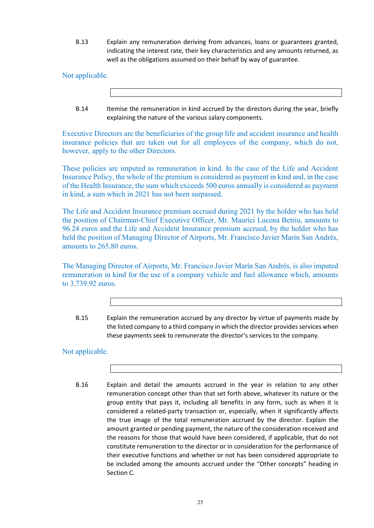B.13 Explain any remuneration deriving from advances, loans or guarantees granted, indicating the interest rate, their key characteristics and any amounts returned, as well as the obligations assumed on their behalf by way of guarantee.

Not applicable.

B.14 Itemise the remuneration in kind accrued by the directors during the year, briefly explaining the nature of the various salary components.

Executive Directors are the beneficiaries of the group life and accident insurance and health insurance policies that are taken out for all employees of the company, which do not, however, apply to the other Directors.

These policies are imputed as remuneration in kind. In the case of the Life and Accident Insurance Policy, the whole of the premium is considered as payment in kind and, in the case of the Health Insurance, the sum which exceeds 500 euros annually is considered as payment in kind, a sum which in 2021 has not been surpassed.

The Life and Accident Insurance premium accrued during 2021 by the holder who has held the position of Chairman-Chief Executive Officer, Mr. Maurici Lucena Betriu, amounts to 96.24 euros and the Life and Accident Insurance premium accrued, by the holder who has held the position of Managing Director of Airports, Mr. Francisco Javier Marín San Andrés, amounts to 265.80 euros.

The Managing Director of Airports, Mr. Francisco Javier Marín San Andrés, is also imputed remuneration in kind for the use of a company vehicle and fuel allowance which, amounts to 3,739.92 euros.

B.15 Explain the remuneration accrued by any director by virtue of payments made by the listed company to a third company in which the director provides services when these payments seek to remunerate the director's services to the company.

## Not applicable.

B.16 Explain and detail the amounts accrued in the year in relation to any other remuneration concept other than that set forth above, whatever its nature or the group entity that pays it, including all benefits in any form, such as when it is considered a related-party transaction or, especially, when it significantly affects the true image of the total remuneration accrued by the director. Explain the amount granted or pending payment, the nature of the consideration received and the reasons for those that would have been considered, if applicable, that do not constitute remuneration to the director or in consideration for the performance of their executive functions and whether or not has been considered appropriate to be included among the amounts accrued under the "Other concepts" heading in Section C.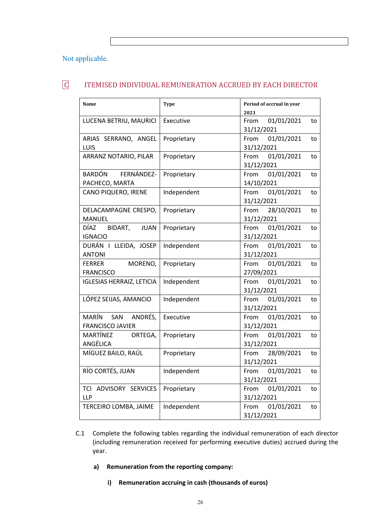### Not applicable.

# C ITEMISED INDIVIDUAL REMUNERATION ACCRUED BY EACH DIRECTOR

| Name                             | <b>Type</b> | Period of accrual in year |  |  |  |
|----------------------------------|-------------|---------------------------|--|--|--|
|                                  |             | 2021                      |  |  |  |
| LUCENA BETRIU, MAURICI           | Executive   | From<br>01/01/2021<br>to  |  |  |  |
|                                  |             | 31/12/2021                |  |  |  |
| ARIAS SERRANO, ANGEL             | Proprietary | 01/01/2021<br>From<br>to  |  |  |  |
| LUIS                             |             | 31/12/2021                |  |  |  |
| ARRANZ NOTARIO, PILAR            | Proprietary | 01/01/2021<br>From<br>to  |  |  |  |
|                                  |             | 31/12/2021                |  |  |  |
| BARDÓN<br>FERNÁNDEZ-             | Proprietary | 01/01/2021<br>From<br>to  |  |  |  |
| PACHECO, MARTA                   |             | 14/10/2021                |  |  |  |
| CANO PIQUERO, IRENE              | Independent | 01/01/2021<br>From<br>to  |  |  |  |
|                                  |             | 31/12/2021                |  |  |  |
| DELACAMPAGNE CRESPO,             | Proprietary | 28/10/2021<br>From<br>to  |  |  |  |
| <b>MANUEL</b>                    |             | 31/12/2021                |  |  |  |
| DÍAZ<br>BIDART,<br><b>JUAN</b>   | Proprietary | 01/01/2021<br>From<br>to  |  |  |  |
| <b>IGNACIO</b>                   |             | 31/12/2021                |  |  |  |
| DURÁN I LLEIDA, JOSEP            | Independent | 01/01/2021<br>From<br>to  |  |  |  |
| <b>ANTONI</b>                    |             |                           |  |  |  |
|                                  |             | 31/12/2021                |  |  |  |
| <b>FERRER</b><br>MORENO,         | Proprietary | 01/01/2021<br>From<br>to  |  |  |  |
| <b>FRANCISCO</b>                 |             | 27/09/2021                |  |  |  |
| <b>IGLESIAS HERRAIZ, LETICIA</b> | Independent | 01/01/2021<br>From<br>to  |  |  |  |
|                                  |             | 31/12/2021                |  |  |  |
| LÓPEZ SEIJAS, AMANCIO            | Independent | 01/01/2021<br>From<br>to  |  |  |  |
|                                  |             | 31/12/2021                |  |  |  |
| ANDRÉS,<br>MARÍN SAN             | Executive   | 01/01/2021<br>From<br>to  |  |  |  |
| <b>FRANCISCO JAVIER</b>          |             | 31/12/2021                |  |  |  |
| MARTÍNEZ<br>ORTEGA,              | Proprietary | 01/01/2021<br>From<br>to  |  |  |  |
| ANGÉLICA                         |             | 31/12/2021                |  |  |  |
| MÍGUEZ BAILO, RAÚL               | Proprietary | 28/09/2021<br>From<br>to  |  |  |  |
|                                  |             | 31/12/2021                |  |  |  |
| RÍO CORTÉS, JUAN                 | Independent | 01/01/2021<br>From<br>to  |  |  |  |
|                                  |             | 31/12/2021                |  |  |  |
| TCI ADVISORY SERVICES            | Proprietary | 01/01/2021<br>From<br>to  |  |  |  |
| <b>LLP</b>                       |             | 31/12/2021                |  |  |  |
| TERCEIRO LOMBA, JAIME            | Independent | From<br>01/01/2021<br>to  |  |  |  |
|                                  |             | 31/12/2021                |  |  |  |

- C.1 Complete the following tables regarding the individual remuneration of each director (including remuneration received for performing executive duties) accrued during the year.
	- **a) Remuneration from the reporting company:**
		- **i) Remuneration accruing in cash (thousands of euros)**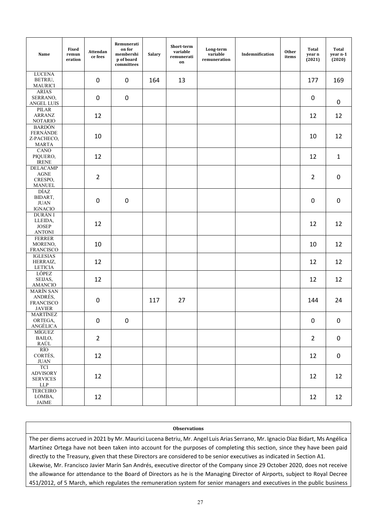| Name                                                                                                   | Fixed<br>remun<br>eration | Attendan<br>ce fees | Remunerati<br>on for<br>membershi<br>p of board<br>committees | <b>Salary</b> | Short-term<br>variable<br>remunerati<br>on | Long-term<br>variable<br>remuneration | Indemnification | <b>Other</b><br>items | Total<br>year n<br>(2021) | <b>Total</b><br>year n-1<br>(2020) |
|--------------------------------------------------------------------------------------------------------|---------------------------|---------------------|---------------------------------------------------------------|---------------|--------------------------------------------|---------------------------------------|-----------------|-----------------------|---------------------------|------------------------------------|
| <b>LUCENA</b><br>BETRIU,<br><b>MAURICI</b>                                                             |                           | 0                   | $\mathbf 0$                                                   | 164           | 13                                         |                                       |                 |                       | 177                       | 169                                |
| <b>ARIAS</b><br>SERRANO,<br>ANGEL LUIS                                                                 |                           | 0                   | $\pmb{0}$                                                     |               |                                            |                                       |                 |                       | $\pmb{0}$                 | $\mathbf 0$                        |
| PILAR<br><b>ARRANZ</b><br><b>NOTARIO</b>                                                               |                           | 12                  |                                                               |               |                                            |                                       |                 |                       | 12                        | 12                                 |
| <b>BARDÓN</b><br><b>FERNÁNDE</b><br>Z-PACHECO,<br><b>MARTA</b>                                         |                           | 10                  |                                                               |               |                                            |                                       |                 |                       | 10                        | 12                                 |
| CANO<br>PIQUERO,<br><b>IRENE</b>                                                                       |                           | 12                  |                                                               |               |                                            |                                       |                 |                       | 12                        | $\mathbf{1}$                       |
| <b>DELACAMP</b><br>$\operatorname{AGNE}$<br>CRESPO,<br><b>MANUEL</b>                                   |                           | $\overline{2}$      |                                                               |               |                                            |                                       |                 |                       | $\overline{2}$            | $\boldsymbol{0}$                   |
| DÍAZ<br>BIDART,<br><b>JUAN</b><br><b>IGNACIO</b>                                                       |                           | 0                   | $\pmb{0}$                                                     |               |                                            |                                       |                 |                       | 0                         | $\boldsymbol{0}$                   |
| DURÁN I<br>LLEIDA,<br><b>JOSEP</b><br><b>ANTONI</b>                                                    |                           | 12                  |                                                               |               |                                            |                                       |                 |                       | 12                        | 12                                 |
| <b>FERRER</b><br>MORENO,<br><b>FRANCISCO</b>                                                           |                           | 10                  |                                                               |               |                                            |                                       |                 |                       | 10                        | 12                                 |
| <b>IGLESIAS</b><br>HERRAIZ,<br><b>LETICIA</b>                                                          |                           | 12                  |                                                               |               |                                            |                                       |                 |                       | 12                        | 12                                 |
| <b>LÓPEZ</b><br>SEIJAS,<br><b>AMANCIO</b>                                                              |                           | 12                  |                                                               |               |                                            |                                       |                 |                       | 12                        | 12                                 |
| <b>MARÍN SAN</b><br>ANDRÉS,<br><b>FRANCISCO</b><br><b>JAVIER</b>                                       |                           | $\mathbf 0$         |                                                               | 117           | 27                                         |                                       |                 |                       | 144                       | 24                                 |
| <b>MARTÍNEZ</b><br>ORTEGA,<br>ANGÉLICA                                                                 |                           | $\boldsymbol{0}$    | 0                                                             |               |                                            |                                       |                 |                       | $\pmb{0}$                 | $\pmb{0}$                          |
| <b>MÍGUEZ</b><br>BAILO,<br><b>RAÚL</b>                                                                 |                           | $\overline{2}$      |                                                               |               |                                            |                                       |                 |                       | $\overline{2}$            | $\pmb{0}$                          |
| RÍO<br>CORTÉS,<br>$\rm JUAN$                                                                           |                           | 12                  |                                                               |               |                                            |                                       |                 |                       | 12                        | $\pmb{0}$                          |
| TCI<br><b>ADVISORY</b><br><b>SERVICES</b><br>${\rm LLP}$                                               |                           | 12                  |                                                               |               |                                            |                                       |                 |                       | 12                        | 12                                 |
| <b>TERCEIRO</b><br>LOMBA,<br>$\ensuremath{\mathsf{J}}\ensuremath{\mathsf{A}}\ensuremath{\mathsf{IME}}$ |                           | 12                  |                                                               |               |                                            |                                       |                 |                       | 12                        | 12                                 |

### **Observations**

The per diems accrued in 2021 by Mr. Maurici Lucena Betriu, Mr. Angel Luis Arias Serrano, Mr. Ignacio Díaz Bidart, Ms Angélica Martínez Ortega have not been taken into account for the purposes of completing this section, since they have been paid directly to the Treasury, given that these Directors are considered to be senior executives as indicated in Section A1. Likewise, Mr. Francisco Javier Marín San Andrés, executive director of the Company since 29 October 2020, does not receive the allowance for attendance to the Board of Directors as he is the Managing Director of Airports, subject to Royal Decree 451/2012, of 5 March, which regulates the remuneration system for senior managers and executives in the public business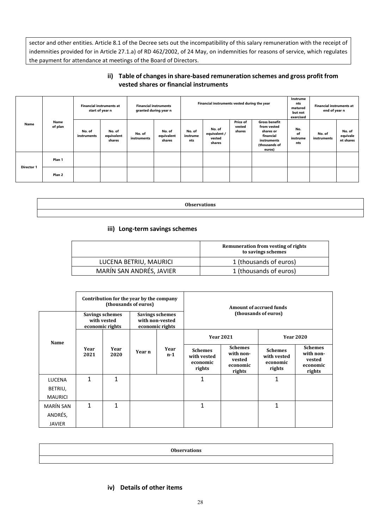sector and other entities. Article 8.1 of the Decree sets out the incompatibility of this salary remuneration with the receipt of indemnities provided for in Article 27.1.a) of RD 462/2002, of 24 May, on indemnities for reasons of service, which regulates the payment for attendance at meetings of the Board of Directors.

### **ii) Table of changes in share-based remuneration schemes and gross profit from vested shares or financial instruments**

|                   |                   | <b>Financial instruments at</b><br>start of year n |                                | <b>Financial instruments</b><br>granted during year n |                                | Financial instruments vested during the year |                                            | Instrume<br>nts<br>matured<br>but not<br>exercised | <b>Financial instruments at</b><br>end of year n                                                        |                              |                       |                                 |
|-------------------|-------------------|----------------------------------------------------|--------------------------------|-------------------------------------------------------|--------------------------------|----------------------------------------------|--------------------------------------------|----------------------------------------------------|---------------------------------------------------------------------------------------------------------|------------------------------|-----------------------|---------------------------------|
| Name              | Name<br>of plan   | No. of<br>instruments                              | No. of<br>equivalent<br>shares | No. of<br>instruments                                 | No. of<br>equivalent<br>shares | No. of<br>instrume<br>nts                    | No. of<br>equivalent /<br>vested<br>shares | <b>Price of</b><br>vested<br>shares                | <b>Gross benefit</b><br>from vested<br>shares or<br>financial<br>instruments<br>(thousands of<br>euros) | No.<br>of<br>instrume<br>nts | No. of<br>instruments | No. of<br>equivale<br>nt shares |
| <b>Director 1</b> | Plan 1            |                                                    |                                |                                                       |                                |                                              |                                            |                                                    |                                                                                                         |                              |                       |                                 |
|                   | Plan <sub>2</sub> |                                                    |                                |                                                       |                                |                                              |                                            |                                                    |                                                                                                         |                              |                       |                                 |

**Observations**

### **iii) Long-term savings schemes**

|                          | Remuneration from vesting of rights<br>to savings schemes |
|--------------------------|-----------------------------------------------------------|
| LUCENA BETRIU, MAURICI   | 1 (thousands of euros)                                    |
| MARÍN SAN ANDRÉS, JAVIER | 1 (thousands of euros)                                    |

|                  |              |                                                   | Contribution for the year by the company<br>(thousands of euros) |                                                       | Amount of accrued funds                             |                                                             |                                                     |                                                             |  |
|------------------|--------------|---------------------------------------------------|------------------------------------------------------------------|-------------------------------------------------------|-----------------------------------------------------|-------------------------------------------------------------|-----------------------------------------------------|-------------------------------------------------------------|--|
|                  |              | Savings schemes<br>with vested<br>economic rights |                                                                  | Savings schemes<br>with non-vested<br>economic rights |                                                     | (thousands of euros)                                        |                                                     |                                                             |  |
| Name             |              |                                                   |                                                                  |                                                       | <b>Year 2021</b><br><b>Year 2020</b>                |                                                             |                                                     |                                                             |  |
|                  | Year<br>2021 | Year<br>2020                                      | Year n                                                           | Year<br>n-1                                           | <b>Schemes</b><br>with vested<br>economic<br>rights | <b>Schemes</b><br>with non-<br>vested<br>economic<br>rights | <b>Schemes</b><br>with vested<br>economic<br>rights | <b>Schemes</b><br>with non-<br>vested<br>economic<br>rights |  |
| <b>LUCENA</b>    | 1            | 1                                                 |                                                                  |                                                       | 1                                                   |                                                             | $\mathbf{1}$                                        |                                                             |  |
| BETRIU,          |              |                                                   |                                                                  |                                                       |                                                     |                                                             |                                                     |                                                             |  |
| <b>MAURICI</b>   |              |                                                   |                                                                  |                                                       |                                                     |                                                             |                                                     |                                                             |  |
| <b>MARÍN SAN</b> | $\mathbf{1}$ | 1                                                 |                                                                  |                                                       | 1                                                   |                                                             | $\mathbf{1}$                                        |                                                             |  |
| ANDRÉS,          |              |                                                   |                                                                  |                                                       |                                                     |                                                             |                                                     |                                                             |  |
| <b>JAVIER</b>    |              |                                                   |                                                                  |                                                       |                                                     |                                                             |                                                     |                                                             |  |

| <b>Observations</b> |
|---------------------|
|                     |

### **iv) Details of other items**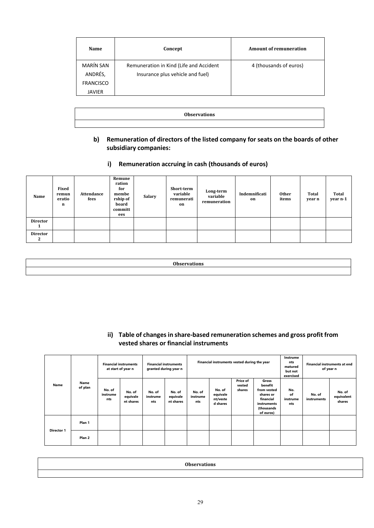| Name                        | Concept                                                                     | Amount of remuneration |
|-----------------------------|-----------------------------------------------------------------------------|------------------------|
| <b>MARÍN SAN</b><br>ANDRÉS, | Remuneration in Kind (Life and Accident<br>Insurance plus vehicle and fuel) | 4 (thousands of euros) |
| <b>FRANCISCO</b>            |                                                                             |                        |
| <b>JAVIER</b>               |                                                                             |                        |

| <b>Observations</b> |  |
|---------------------|--|
|                     |  |

- **b) Remuneration of directors of the listed company for seats on the boards of other subsidiary companies:**
	- **i) Remuneration accruing in cash (thousands of euros)**

| Name            | Fixed<br>remun<br>eratio<br>n | Attendance<br>fees | Remune<br>ration<br>for<br>membe<br>rship of<br>board<br>committ<br>ees | <b>Salary</b> | Short-term<br>variable<br>remunerati<br>on | Long-term<br>variable<br>remuneration | Indemnificati<br>on | <b>Other</b><br>items | <b>Total</b><br>year n | Total<br>year n-1 |
|-----------------|-------------------------------|--------------------|-------------------------------------------------------------------------|---------------|--------------------------------------------|---------------------------------------|---------------------|-----------------------|------------------------|-------------------|
| <b>Director</b> |                               |                    |                                                                         |               |                                            |                                       |                     |                       |                        |                   |
| <b>Director</b> |                               |                    |                                                                         |               |                                            |                                       |                     |                       |                        |                   |

**ii) Table of changes in share-based remuneration schemes and gross profit from vested shares or financial instruments**

|                   |                   | <b>Financial instruments</b><br>at start of year n |                                 | <b>Financial instruments</b><br>granted during year n |                                 | Financial instruments vested during the year |                                            |                              |                                                                                                     | Instrume<br>nts<br><b>Financial instruments at end</b><br>matured<br>of year n<br>but not<br>exercised |                       |                                |
|-------------------|-------------------|----------------------------------------------------|---------------------------------|-------------------------------------------------------|---------------------------------|----------------------------------------------|--------------------------------------------|------------------------------|-----------------------------------------------------------------------------------------------------|--------------------------------------------------------------------------------------------------------|-----------------------|--------------------------------|
| Name              | Name<br>of plan   | No. of<br>instrume<br>nts                          | No. of<br>equivale<br>nt shares | No. of<br>instrume<br>nts                             | No. of<br>equivale<br>nt shares | No. of<br>instrume<br>nts                    | No. of<br>equivale<br>nt/veste<br>d shares | Price of<br>vested<br>shares | Gross<br>benefit<br>from vested<br>shares or<br>financial<br>instruments<br>(thousands<br>of euros) | No.<br>of<br>instrume<br>nts                                                                           | No. of<br>instruments | No. of<br>equivalent<br>shares |
|                   | Plan 1            |                                                    |                                 |                                                       |                                 |                                              |                                            |                              |                                                                                                     |                                                                                                        |                       |                                |
| <b>Director 1</b> | Plan <sub>2</sub> |                                                    |                                 |                                                       |                                 |                                              |                                            |                              |                                                                                                     |                                                                                                        |                       |                                |

| ∩⊾ |  |
|----|--|
|    |  |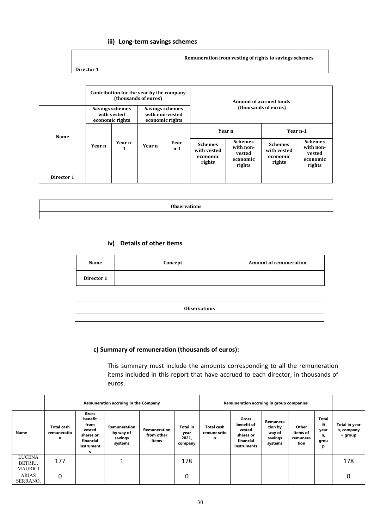### **iii) Long-term savings schemes**

|            | Remuneration from vesting of rights to savings schemes |
|------------|--------------------------------------------------------|
| Director 1 |                                                        |

|            | Contribution for the year by the company<br>(thousands of euros) |                                                   |                                                       |             | <b>Amount of accrued funds</b>                      |                                                             |                                                     |                                                             |  |
|------------|------------------------------------------------------------------|---------------------------------------------------|-------------------------------------------------------|-------------|-----------------------------------------------------|-------------------------------------------------------------|-----------------------------------------------------|-------------------------------------------------------------|--|
| Name       |                                                                  | Savings schemes<br>with vested<br>economic rights | Savings schemes<br>with non-vested<br>economic rights |             | (thousands of euros)                                |                                                             |                                                     |                                                             |  |
|            | Year n                                                           |                                                   | Year n                                                | Year<br>n-1 | Year n                                              |                                                             | Year n-1                                            |                                                             |  |
|            |                                                                  | Year n-<br>1                                      |                                                       |             | <b>Schemes</b><br>with vested<br>economic<br>rights | <b>Schemes</b><br>with non-<br>vested<br>economic<br>rights | <b>Schemes</b><br>with vested<br>economic<br>rights | <b>Schemes</b><br>with non-<br>vested<br>economic<br>rights |  |
| Director 1 |                                                                  |                                                   |                                                       |             |                                                     |                                                             |                                                     |                                                             |  |

| 0 <sub>h</sub><br>vns<br>. |
|----------------------------|
|                            |

### **iv) Details of other items**

| Name       | Concept | <b>Amount of remuneration</b> |
|------------|---------|-------------------------------|
| Director 1 |         |                               |

| <b>Observations</b> |
|---------------------|
|                     |

# **c) Summary of remuneration (thousands of euros):**

This summary must include the amounts corresponding to all the remuneration items included in this report that have accrued to each director, in thousands of euros.

|                                            |                                       |                                                                                 | Remuneration accruing in the Company            | Remuneration accruing in group companies |                                             |                                |                                                                        |                                                     |                                       |                                        |                                        |
|--------------------------------------------|---------------------------------------|---------------------------------------------------------------------------------|-------------------------------------------------|------------------------------------------|---------------------------------------------|--------------------------------|------------------------------------------------------------------------|-----------------------------------------------------|---------------------------------------|----------------------------------------|----------------------------------------|
| Name                                       | <b>Total cash</b><br>remuneratio<br>n | Gross<br>benefit<br>from<br>vested<br>shares or<br>financial<br>instrument<br>s | Remuneration<br>by way of<br>savings<br>systems | Remuneration<br>from other<br>items      | <b>Total in</b><br>year<br>2021,<br>company | Total cash<br>remuneratio<br>n | Gross<br>benefit of<br>vested<br>shares or<br>financial<br>instruments | Remunera<br>tion by<br>way of<br>savings<br>systems | Other<br>items of<br>remunera<br>tion | Total<br>in<br>year<br>n,<br>grou<br>р | Total in year<br>n, company<br>+ group |
| <b>LUCENA</b><br>BETRIU,<br><b>MAURICI</b> | 177                                   |                                                                                 |                                                 |                                          | 178                                         |                                |                                                                        |                                                     |                                       |                                        | 178                                    |
| ARIAS<br>SERRANO,                          | 0                                     |                                                                                 |                                                 |                                          | 0                                           |                                |                                                                        |                                                     |                                       |                                        |                                        |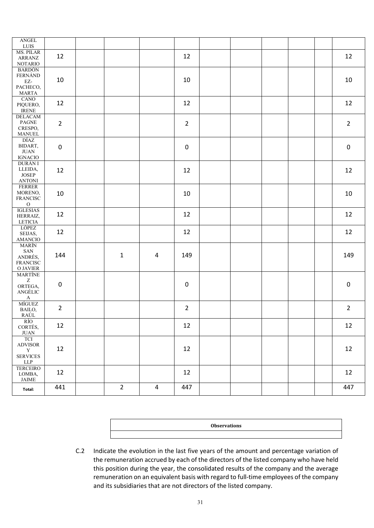| $\operatorname{ANGEL}$<br>${\rm LUIS}$                                                                 |                |                |                         |                |  |  |                |
|--------------------------------------------------------------------------------------------------------|----------------|----------------|-------------------------|----------------|--|--|----------------|
| <b>MS. PILAR</b><br>ARRANZ<br><b>NOTARIO</b>                                                           | 12             |                |                         | 12             |  |  | 12             |
| <b>BARDÓN</b><br><b>FERNÁND</b><br>$\mathbf{EZ}\text{-}$<br>PACHECO,<br><b>MARTA</b>                   | 10             |                |                         | 10             |  |  | 10             |
| CANO<br>PIQUERO,<br><b>IRENE</b>                                                                       | 12             |                |                         | 12             |  |  | 12             |
| <b>DELACAM</b><br>$\mathop{\mathrm{PAGNE}}$<br>CRESPO,<br><b>MANUEL</b>                                | $\overline{2}$ |                |                         | $\overline{2}$ |  |  | $\overline{2}$ |
| DÍAZ<br>BIDART,<br>$\rm JUAN$<br><b>IGNACIO</b>                                                        | 0              |                |                         | $\pmb{0}$      |  |  | $\pmb{0}$      |
| <b>DURÁN I</b><br>LLEIDA,<br>$\ensuremath{\text{JOSEP}}$<br><b>ANTONI</b>                              | 12             |                |                         | 12             |  |  | 12             |
| <b>FERRER</b><br>MORENO,<br>FRANCISC<br>${\rm O}$                                                      | 10             |                |                         | 10             |  |  | $10\,$         |
| <b>IGLESIAS</b><br>HERRAIZ,<br>LETICIA                                                                 | 12             |                |                         | 12             |  |  | 12             |
| <b>LÓPEZ</b><br>SEIJAS,<br>AMANCIO                                                                     | 12             |                |                         | 12             |  |  | 12             |
| <b>MARÍN</b><br>SAN<br>ANDRÉS,<br><b>FRANCISC</b><br>$\hbox{O JAVIER}$                                 | 144            | $\mathbf{1}$   | 4                       | 149            |  |  | 149            |
| <b>MARTÍNE</b><br>$\ensuremath{\mathbf{Z}}$<br>ORTEGA,<br>ANGÉLIC<br>$\mathbf A$                       | 0              |                |                         | $\pmb{0}$      |  |  | $\pmb{0}$      |
| MÍGUEZ<br>BAILO,<br>RAÚL                                                                               | $\overline{2}$ |                |                         | $\overline{2}$ |  |  | $\overline{2}$ |
| RÍO<br>CORTÉS,<br>$\rm JUAN$                                                                           | 12             |                |                         | 12             |  |  | 12             |
| <b>TCI</b><br>ADVISOR<br>$\mathbf Y$<br><b>SERVICES</b><br>${\rm LLP}$                                 | 12             |                |                         | 12             |  |  | 12             |
| <b>TERCEIRO</b><br>LOMBA,<br>$\ensuremath{\mathsf{J}}\ensuremath{\mathsf{A}}\ensuremath{\mathsf{IME}}$ | 12             |                |                         | 12             |  |  | 12             |
| Total:                                                                                                 | 441            | $\overline{2}$ | $\overline{\mathbf{4}}$ | 447            |  |  | 447            |

|  | <b>Observations</b> |  |
|--|---------------------|--|
|  |                     |  |

C.2 Indicate the evolution in the last five years of the amount and percentage variation of the remuneration accrued by each of the directors of the listed company who have held this position during the year, the consolidated results of the company and the average remuneration on an equivalent basis with regard to full-time employees of the company and its subsidiaries that are not directors of the listed company.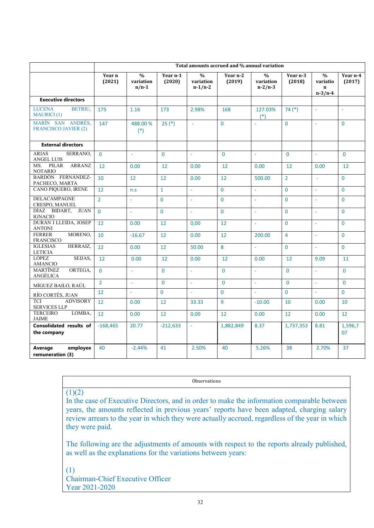|                                                       | Total amounts accrued and % annual variation |                                       |                    |                                         |                    |                                         |                      |                                                       |                    |
|-------------------------------------------------------|----------------------------------------------|---------------------------------------|--------------------|-----------------------------------------|--------------------|-----------------------------------------|----------------------|-------------------------------------------------------|--------------------|
|                                                       | Year n<br>(2021)                             | $\frac{0}{0}$<br>variation<br>$n/n-1$ | Year n-1<br>(2020) | $\frac{0}{0}$<br>variation<br>$n-1/n-2$ | Year n-2<br>(2019) | $\frac{0}{0}$<br>variation<br>$n-2/n-3$ | Year $n-3$<br>(2018) | $\frac{0}{0}$<br>variatio<br>$\mathbf n$<br>$n-3/n-4$ | Year n-4<br>(2017) |
| <b>Executive directors</b>                            |                                              |                                       |                    |                                         |                    |                                         |                      |                                                       |                    |
| <b>BETRIU,</b><br><b>LUCENA</b><br><b>MAURICI</b> (1) | 175                                          | 1.16                                  | 173                | 2.98%                                   | 168                | 127.03%<br>$(*)$                        | $74(*)$              | $\omega$                                              | ÷.                 |
| MARÍN SAN ANDRÉS,<br><b>FRANCISCO JAVIER (2)</b>      | 147                                          | 488.00%<br>$(*)$                      | $25(*)$            | $\omega$                                | $\Omega$           | ä,                                      | $\mathbf{0}$         | $\sim$                                                | $\Omega$           |
| <b>External directors</b>                             |                                              |                                       |                    |                                         |                    |                                         |                      |                                                       |                    |
| <b>ARIAS</b><br>SERRANO,<br><b>ANGEL LUIS</b>         | $\Omega$                                     | ÷.                                    | $\mathbf{0}$       | $\Box$                                  | $\Omega$           | $\omega$                                | $\Omega$             | $\omega$                                              | $\mathbf{0}$       |
| <b>ARRANZ</b><br>MS. PILAR<br><b>NOTARIO</b>          | 12                                           | 0.00                                  | 12                 | 0.00                                    | 12                 | 0.00                                    | 12                   | 0.00                                                  | 12                 |
| BARDÓN FERNÁNDEZ-<br>PACHECO, MARTA                   | 10                                           | 12                                    | 12                 | 0.00                                    | 12                 | 500.00                                  | $\overline{2}$       | $\omega$                                              | $\Omega$           |
| CANO PIQUERO, IRENE                                   | 12 <sup>2</sup>                              | n.s                                   | $\mathbf{1}$       | ä,                                      | $\overline{0}$     | ä,                                      | $\Omega$             | $\omega$                                              | $\mathbf{0}$       |
| <b>DELACAMPAGNE</b><br>CRESPO, MANUEL                 | $\overline{2}$                               | L,                                    | $\mathbf{0}$       | L,                                      | $\Omega$           | ä,                                      | $\Omega$             | ÷,                                                    | $\Omega$           |
| DÍAZ BIDART, JUAN<br><b>IGNACIO</b>                   | $\Omega$                                     | ÷.                                    | $\mathbf{0}$       | ä,                                      | $\Omega$           | ä,                                      | $\Omega$             | $\mathbb{Z}$                                          | $\mathbf{0}$       |
| DURÁN I LLEIDA, JOSEP<br><b>ANTONI</b>                | 12                                           | 0.00                                  | 12                 | 0.00                                    | 12                 | ÷.                                      | $\Omega$             | ÷.                                                    | $\Omega$           |
| MORENO,<br><b>FERRER</b><br><b>FRANCISCO</b>          | 10                                           | $-16.67$                              | 12                 | 0.00                                    | 12                 | 200.00                                  | $\overline{4}$       | ÷.                                                    | $\Omega$           |
| HERRAIZ,<br><b>IGLESIAS</b><br><b>LETICIA</b>         | 12                                           | 0.00                                  | 12                 | 50.00                                   | 8                  | ä,                                      | $\mathbf{0}$         | $\omega$                                              | $\mathbf{0}$       |
| <b>LÓPEZ</b><br>SEIJAS,<br>AMANCIO                    | 12                                           | 0.00                                  | 12                 | 0.00                                    | 12                 | 0.00                                    | $12 \overline{ }$    | 9.09                                                  | 11                 |
| <b>MARTÍNEZ</b><br>ORTEGA,<br>ANGÉLICA                | $\Omega$                                     | ä,                                    | $\Omega$           | ÷.                                      | $\Omega$           | $\omega$                                | $\Omega$             | ÷.                                                    | $\Omega$           |
| MÍGUEZ BAILO, RAÚL                                    | $\overline{2}$                               | ÷.                                    | $\mathbf{0}$       | ÷.                                      | $\Omega$           | ÷.                                      | $\Omega$             | $\omega$                                              | $\Omega$           |
| RÍO CORTÉS, JUAN                                      | 12 <sup>2</sup>                              | ÷.                                    | $\mathbf{0}$       | $\omega$                                | $\Omega$           | $\omega$                                | $\Omega$             | $\omega$                                              | $\overline{0}$     |
| <b>ADVISORY</b><br><b>TCI</b><br><b>SERVICES LLP</b>  | 12                                           | 0.00                                  | 12                 | 33.33                                   | 9                  | $-10.00$                                | 10                   | 0.00                                                  | 10                 |
| <b>TERCEIRO</b><br>LOMBA,<br><b>JAIME</b>             | 12                                           | 0.00                                  | $12 \overline{ }$  | 0.00                                    | 12                 | 0.00                                    | 12                   | 0.00                                                  | 12                 |
| Consolidated results of<br>the company                | $-168,465$                                   | 20.77                                 | $-212,633$         | ä,                                      | 1,882,849          | 8.37                                    | 1,737,353            | 8.81                                                  | 1,596,7<br>07      |
| Average<br>employee<br>remuneration (3)               | 40                                           | $-2.44%$                              | 41                 | 2.50%                                   | 40                 | 5.26%                                   | 38                   | 2.70%                                                 | 37                 |

**Observations** 

# $(1)(2)$

In the case of Executive Directors, and in order to make the information comparable between years, the amounts reflected in previous years' reports have been adapted, charging salary review arrears to the year in which they were actually accrued, regardless of the year in which they were paid.

The following are the adjustments of amounts with respect to the reports already published, as well as the explanations for the variations between years:

(1) Chairman-Chief Executive Officer Year 2021-2020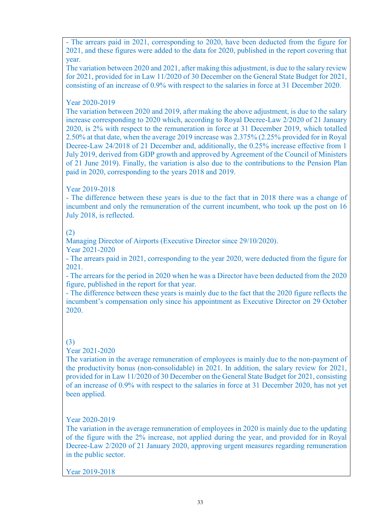- The arrears paid in 2021, corresponding to 2020, have been deducted from the figure for 2021, and these figures were added to the data for 2020, published in the report covering that year.

The variation between 2020 and 2021, after making this adjustment, is due to the salary review for 2021, provided for in Law 11/2020 of 30 December on the General State Budget for 2021, consisting of an increase of 0.9% with respect to the salaries in force at 31 December 2020.

Year 2020-2019

The variation between 2020 and 2019, after making the above adjustment, is due to the salary increase corresponding to 2020 which, according to Royal Decree-Law 2/2020 of 21 January 2020, is 2% with respect to the remuneration in force at 31 December 2019, which totalled 2.50% at that date, when the average 2019 increase was 2.375% (2.25% provided for in Royal Decree-Law 24/2018 of 21 December and, additionally, the 0.25% increase effective from 1 July 2019, derived from GDP growth and approved by Agreement of the Council of Ministers of 21 June 2019). Finally, the variation is also due to the contributions to the Pension Plan paid in 2020, corresponding to the years 2018 and 2019.

Year 2019-2018

- The difference between these years is due to the fact that in 2018 there was a change of incumbent and only the remuneration of the current incumbent, who took up the post on 16 July 2018, is reflected.

# (2)

Managing Director of Airports (Executive Director since 29/10/2020). Year 2021-2020

- The arrears paid in 2021, corresponding to the year 2020, were deducted from the figure for 2021.

- The arrears for the period in 2020 when he was a Director have been deducted from the 2020 figure, published in the report for that year.

- The difference between these years is mainly due to the fact that the 2020 figure reflects the incumbent's compensation only since his appointment as Executive Director on 29 October 2020.

# (3)

Year 2021-2020

The variation in the average remuneration of employees is mainly due to the non-payment of the productivity bonus (non-consolidable) in 2021. In addition, the salary review for 2021, provided for in Law 11/2020 of 30 December on the General State Budget for 2021, consisting of an increase of 0.9% with respect to the salaries in force at 31 December 2020, has not yet been applied.

Year 2020-2019

The variation in the average remuneration of employees in 2020 is mainly due to the updating of the figure with the 2% increase, not applied during the year, and provided for in Royal Decree-Law 2/2020 of 21 January 2020, approving urgent measures regarding remuneration in the public sector.

Year 2019-2018